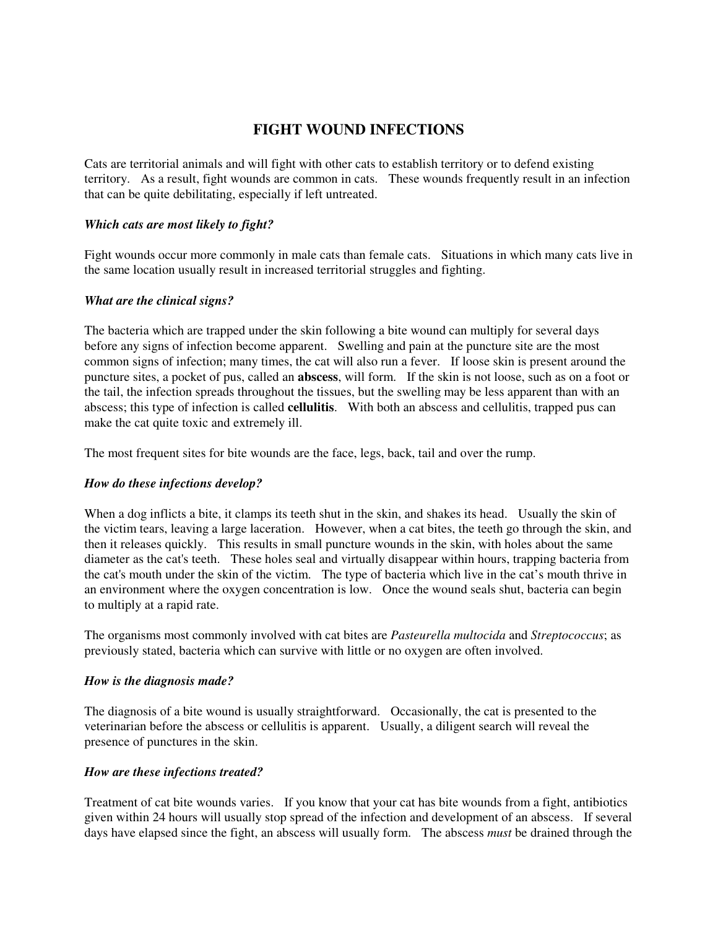# **FIGHT WOUND INFECTIONS**

Cats are territorial animals and will fight with other cats to establish territory or to defend existing territory. As a result, fight wounds are common in cats. These wounds frequently result in an infection that can be quite debilitating, especially if left untreated.

#### *Which cats are most likely to fight?*

Fight wounds occur more commonly in male cats than female cats. Situations in which many cats live in the same location usually result in increased territorial struggles and fighting.

#### *What are the clinical signs?*

The bacteria which are trapped under the skin following a bite wound can multiply for several days before any signs of infection become apparent. Swelling and pain at the puncture site are the most common signs of infection; many times, the cat will also run a fever. If loose skin is present around the puncture sites, a pocket of pus, called an **abscess**, will form. If the skin is not loose, such as on a foot or the tail, the infection spreads throughout the tissues, but the swelling may be less apparent than with an abscess; this type of infection is called **cellulitis**. With both an abscess and cellulitis, trapped pus can make the cat quite toxic and extremely ill.

The most frequent sites for bite wounds are the face, legs, back, tail and over the rump.

#### *How do these infections develop?*

When a dog inflicts a bite, it clamps its teeth shut in the skin, and shakes its head. Usually the skin of the victim tears, leaving a large laceration. However, when a cat bites, the teeth go through the skin, and then it releases quickly. This results in small puncture wounds in the skin, with holes about the same diameter as the cat's teeth. These holes seal and virtually disappear within hours, trapping bacteria from the cat's mouth under the skin of the victim. The type of bacteria which live in the cat's mouth thrive in an environment where the oxygen concentration is low. Once the wound seals shut, bacteria can begin to multiply at a rapid rate.

The organisms most commonly involved with cat bites are *Pasteurella multocida* and *Streptococcus*; as previously stated, bacteria which can survive with little or no oxygen are often involved.

#### *How is the diagnosis made?*

The diagnosis of a bite wound is usually straightforward. Occasionally, the cat is presented to the veterinarian before the abscess or cellulitis is apparent. Usually, a diligent search will reveal the presence of punctures in the skin.

#### *How are these infections treated?*

Treatment of cat bite wounds varies. If you know that your cat has bite wounds from a fight, antibiotics given within 24 hours will usually stop spread of the infection and development of an abscess. If several days have elapsed since the fight, an abscess will usually form. The abscess *must* be drained through the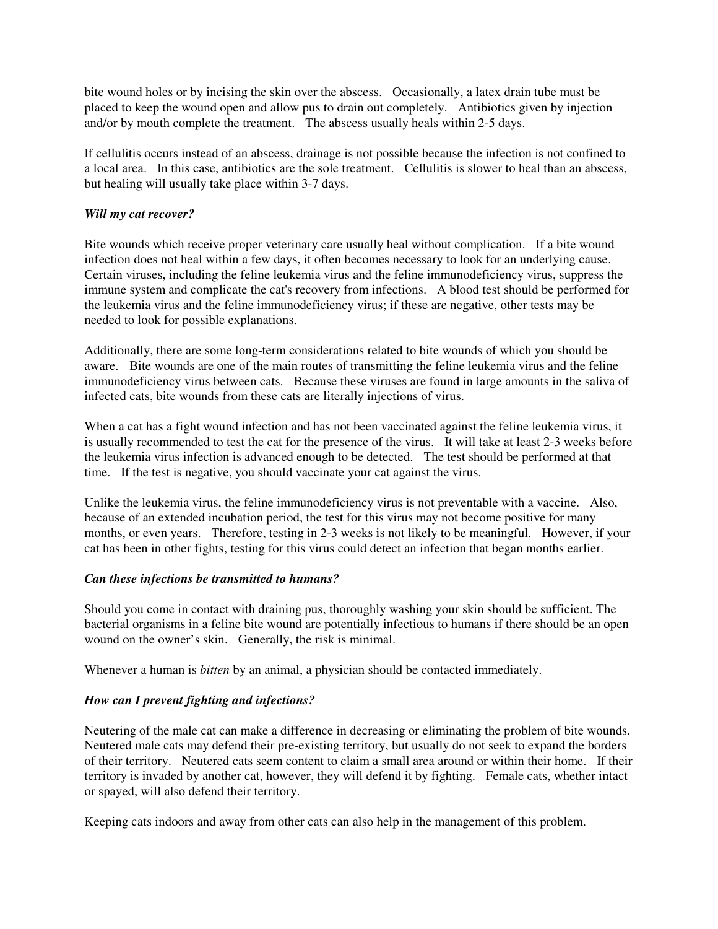bite wound holes or by incising the skin over the abscess. Occasionally, a latex drain tube must be placed to keep the wound open and allow pus to drain out completely. Antibiotics given by injection and/or by mouth complete the treatment. The abscess usually heals within 2-5 days.

If cellulitis occurs instead of an abscess, drainage is not possible because the infection is not confined to a local area. In this case, antibiotics are the sole treatment. Cellulitis is slower to heal than an abscess, but healing will usually take place within 3-7 days.

#### *Will my cat recover?*

Bite wounds which receive proper veterinary care usually heal without complication. If a bite wound infection does not heal within a few days, it often becomes necessary to look for an underlying cause. Certain viruses, including the feline leukemia virus and the feline immunodeficiency virus, suppress the immune system and complicate the cat's recovery from infections. A blood test should be performed for the leukemia virus and the feline immunodeficiency virus; if these are negative, other tests may be needed to look for possible explanations.

Additionally, there are some long-term considerations related to bite wounds of which you should be aware.Bite wounds are one of the main routes of transmitting the feline leukemia virus and the feline immunodeficiency virus between cats. Because these viruses are found in large amounts in the saliva of infected cats, bite wounds from these cats are literally injections of virus.

When a cat has a fight wound infection and has not been vaccinated against the feline leukemia virus, it is usually recommended to test the cat for the presence of the virus. It will take at least 2-3 weeks before the leukemia virus infection is advanced enough to be detected. The test should be performed at that time. If the test is negative, you should vaccinate your cat against the virus.

Unlike the leukemia virus, the feline immunodeficiency virus is not preventable with a vaccine. Also, because of an extended incubation period, the test for this virus may not become positive for many months, or even years. Therefore, testing in 2-3 weeks is not likely to be meaningful. However, if your cat has been in other fights, testing for this virus could detect an infection that began months earlier.

#### *Can these infections be transmitted to humans?*

Should you come in contact with draining pus, thoroughly washing your skin should be sufficient. The bacterial organisms in a feline bite wound are potentially infectious to humans if there should be an open wound on the owner's skin. Generally, the risk is minimal.

Whenever a human is *bitten* by an animal, a physician should be contacted immediately.

## *How can I prevent fighting and infections?*

Neutering of the male cat can make a difference in decreasing or eliminating the problem of bite wounds. Neutered male cats may defend their pre-existing territory, but usually do not seek to expand the borders of their territory. Neutered cats seem content to claim a small area around or within their home. If their territory is invaded by another cat, however, they will defend it by fighting. Female cats, whether intact or spayed, will also defend their territory.

Keeping cats indoors and away from other cats can also help in the management of this problem.